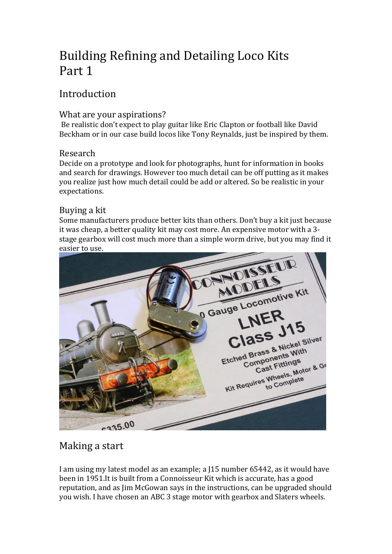# Building Refining and Detailing Loco Kits Part 1

## Introduction

### What are your aspirations?

Be realistic don't expect to play guitar like Eric Clapton or football like David Beckham or in our case build locos like Tony Reynalds, just be inspired by them.

### Research

Decide on a prototype and look for photographs, hunt for information in books and search for drawings. However too much detail can be off putting as it makes you realize just how much detail could be add or altered. So be realistic in your expectations.

### Buying a kit

Some manufacturers produce better kits than others. Don't buy a kit just because it was cheap, a better quality kit may cost more. An expensive motor with a 3 stage gearbox will cost much more than a simple worm drive, but you may find it easier to use.



## Making a start

I am using my latest model as an example; a J15 number 65442, as it would have been in 1951.It is built from a Connoisseur Kit which is accurate, has a good reputation, and as Jim McGowan says in the instructions, can be upgraded should you wish. I have chosen an ABC 3 stage motor with gearbox and Slaters wheels.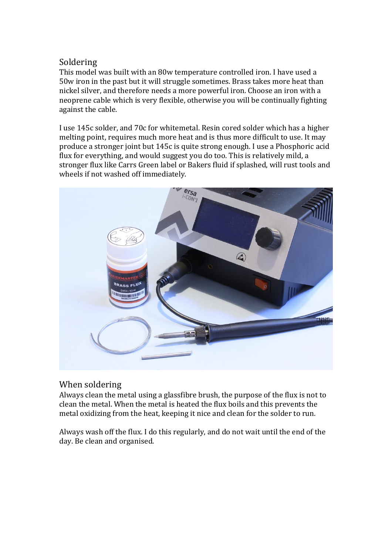### Soldering

This model was built with an 80w temperature controlled iron. I have used a 50w iron in the past but it will struggle sometimes. Brass takes more heat than nickel silver, and therefore needs a more powerful iron. Choose an iron with a neoprene cable which is very flexible, otherwise you will be continually fighting against the cable.

I use 145c solder, and 70c for whitemetal. Resin cored solder which has a higher melting point, requires much more heat and is thus more difficult to use. It may produce a stronger joint but 145c is quite strong enough. I use a Phosphoric acid flux for everything, and would suggest you do too. This is relatively mild, a stronger flux like Carrs Green label or Bakers fluid if splashed, will rust tools and wheels if not washed off immediately.



### When soldering

Always clean the metal using a glassfibre brush, the purpose of the flux is not to clean the metal. When the metal is heated the flux boils and this prevents the metal oxidizing from the heat, keeping it nice and clean for the solder to run.

Always wash off the flux. I do this regularly, and do not wait until the end of the day. Be clean and organised.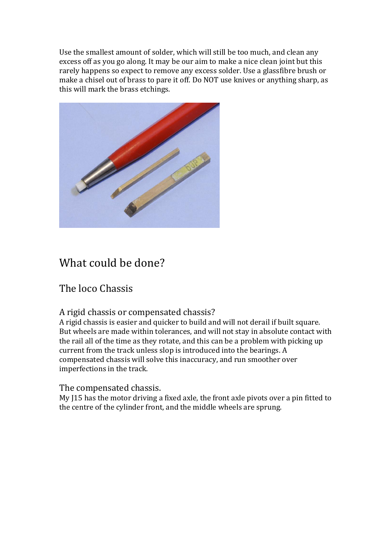Use the smallest amount of solder, which will still be too much, and clean any excess off as you go along. It may be our aim to make a nice clean joint but this rarely happens so expect to remove any excess solder. Use a glassfibre brush or make a chisel out of brass to pare it off. Do NOT use knives or anything sharp, as this will mark the brass etchings.



## What could be done?

## The loco Chassis

### A rigid chassis or compensated chassis?

A rigid chassis is easier and quicker to build and will not derail if built square. But wheels are made within tolerances, and will not stay in absolute contact with the rail all of the time as they rotate, and this can be a problem with picking up current from the track unless slop is introduced into the bearings. A compensated chassis will solve this inaccuracy, and run smoother over imperfections in the track.

### The compensated chassis.

My J15 has the motor driving a fixed axle, the front axle pivots over a pin fitted to the centre of the cylinder front, and the middle wheels are sprung.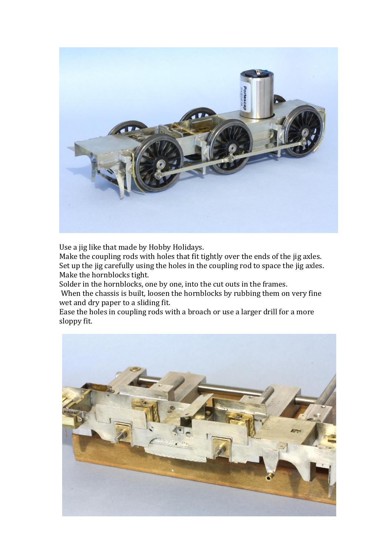

Use a jig like that made by Hobby Holidays.

Make the coupling rods with holes that fit tightly over the ends of the jig axles. Set up the jig carefully using the holes in the coupling rod to space the jig axles. Make the hornblocks tight.

Solder in the hornblocks, one by one, into the cut outs in the frames.

When the chassis is built, loosen the hornblocks by rubbing them on very fine wet and dry paper to a sliding fit.

Ease the holes in coupling rods with a broach or use a larger drill for a more sloppy fit.

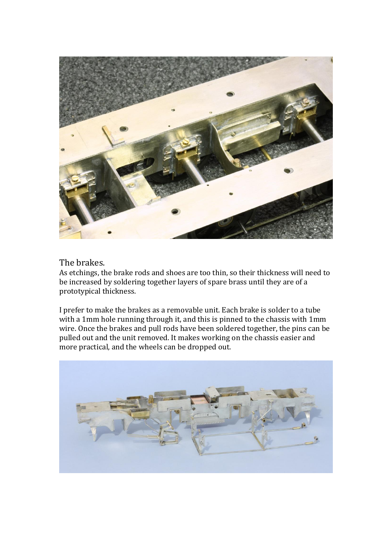

### The brakes.

As etchings, the brake rods and shoes are too thin, so their thickness will need to be increased by soldering together layers of spare brass until they are of a prototypical thickness.

I prefer to make the brakes as a removable unit. Each brake is solder to a tube with a 1mm hole running through it, and this is pinned to the chassis with 1mm wire. Once the brakes and pull rods have been soldered together, the pins can be pulled out and the unit removed. It makes working on the chassis easier and more practical, and the wheels can be dropped out.